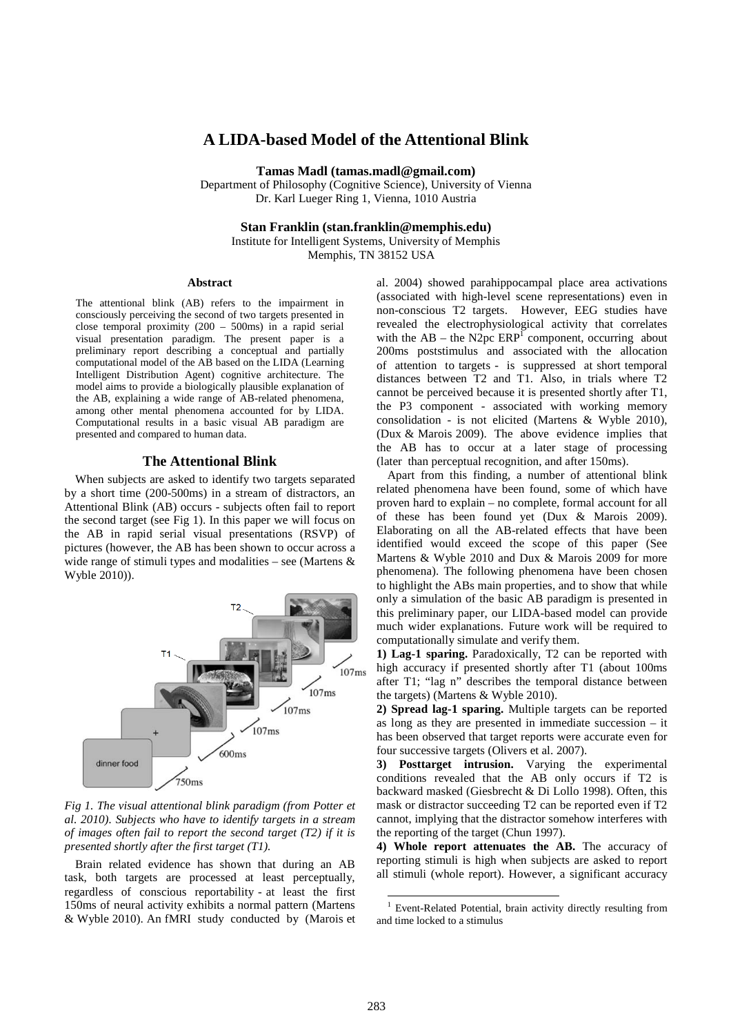# **A LIDA-based Model of the Attentional Blink**

**Tamas Madl (tamas.madl@gmail.com)** 

Department of Philosophy (Cognitive Science), University of Vienna Dr. Karl Lueger Ring 1, Vienna, 1010 Austria

**Stan Franklin (stan.franklin@memphis.edu)**  Institute for Intelligent Systems, University of Memphis

Memphis, TN 38152 USA

#### **Abstract**

The attentional blink (AB) refers to the impairment in consciously perceiving the second of two targets presented in close temporal proximity (200 – 500ms) in a rapid serial visual presentation paradigm. The present paper is a preliminary report describing a conceptual and partially computational model of the AB based on the LIDA (Learning Intelligent Distribution Agent) cognitive architecture. The model aims to provide a biologically plausible explanation of the AB, explaining a wide range of AB-related phenomena, among other mental phenomena accounted for by LIDA. Computational results in a basic visual AB paradigm are presented and compared to human data.

#### **The Attentional Blink**

When subjects are asked to identify two targets separated by a short time (200-500ms) in a stream of distractors, an Attentional Blink (AB) occurs - subjects often fail to report the second target (see Fig 1). In this paper we will focus on the AB in rapid serial visual presentations (RSVP) of pictures (however, the AB has been shown to occur across a wide range of stimuli types and modalities – see (Martens & Wyble 2010)).



*Fig 1. The visual attentional blink paradigm (from Potter et al. 2010). Subjects who have to identify targets in a stream of images often fail to report the second target (T2) if it is presented shortly after the first target (T1).*

Brain related evidence has shown that during an AB task, both targets are processed at least perceptually, regardless of conscious reportability - at least the first 150ms of neural activity exhibits a normal pattern (Martens & Wyble 2010). An fMRI study conducted by (Marois et al. 2004) showed parahippocampal place area activations (associated with high-level scene representations) even in non-conscious T2 targets. However, EEG studies have revealed the electrophysiological activity that correlates with the  $AB$  – the N2pc  $ERP<sup>T</sup>$  component, occurring about 200ms poststimulus and associated with the allocation of attention to targets - is suppressed at short temporal distances between T2 and T1. Also, in trials where T2 cannot be perceived because it is presented shortly after T1, the P3 component - associated with working memory consolidation - is not elicited (Martens & Wyble 2010), (Dux & Marois 2009). The above evidence implies that the AB has to occur at a later stage of processing (later than perceptual recognition, and after 150ms).

Apart from this finding, a number of attentional blink related phenomena have been found, some of which have proven hard to explain – no complete, formal account for all of these has been found yet (Dux & Marois 2009). Elaborating on all the AB-related effects that have been identified would exceed the scope of this paper (See Martens & Wyble 2010 and Dux & Marois 2009 for more phenomena). The following phenomena have been chosen to highlight the ABs main properties, and to show that while only a simulation of the basic AB paradigm is presented in this preliminary paper, our LIDA-based model can provide much wider explanations. Future work will be required to computationally simulate and verify them.

**1) Lag-1 sparing.** Paradoxically, T2 can be reported with high accuracy if presented shortly after T1 (about 100ms after T1; "lag n" describes the temporal distance between the targets) (Martens & Wyble 2010).

**2) Spread lag-1 sparing.** Multiple targets can be reported as long as they are presented in immediate succession – it has been observed that target reports were accurate even for four successive targets (Olivers et al. 2007).

**3) Posttarget intrusion.** Varying the experimental conditions revealed that the AB only occurs if T2 is backward masked (Giesbrecht & Di Lollo 1998). Often, this mask or distractor succeeding T2 can be reported even if T2 cannot, implying that the distractor somehow interferes with the reporting of the target (Chun 1997).

**4) Whole report attenuates the AB.** The accuracy of reporting stimuli is high when subjects are asked to report all stimuli (whole report). However, a significant accuracy

 $\overline{a}$ 

<sup>1</sup> Event-Related Potential, brain activity directly resulting from and time locked to a stimulus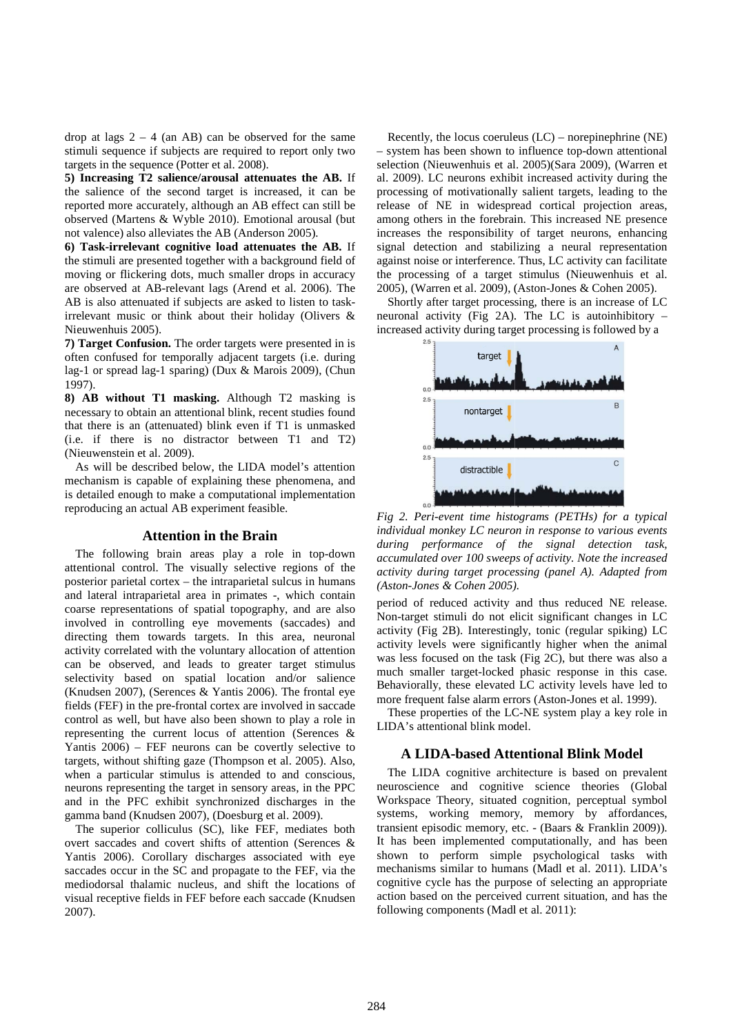drop at lags  $2 - 4$  (an AB) can be observed for the same stimuli sequence if subjects are required to report only two targets in the sequence (Potter et al. 2008) 2008).

**5) Increasing T2 salience/arousal attenuates the AB AB.** If the salience of the second target is increased, it can be reported more accurately, although an AB effect can still be observed (Martens & Wyble 2010). Emotional arousal (but not valence) also alleviates the AB (Anderson 2 reported more accurately, although an AB effect can still be observed (Martens & Wyble 2010). Emotional arousal (but not valence) also alleviates the AB (Anderson 2005)

**6) Task-irrelevant cognitive load attenuates the AB.** If the stimuli are presented together with a background field of moving or flickering dots, much smaller drops in accuracy are observed at AB-relevant lags (Arend et al. 2006) 2006). The AB is also attenuated if subjects are asked to listen to taskirrelevant music or think about their holiday (Olivers  $\&$ Nieuwenhuis 2005).

**7) Target Confusion.** The order targets were presented in is often confused for temporally adjacent targets (i.e. during lag-1 or spread lag-1 sparing) (Dux & Marois 2009) 2009), (Chun 1997).

8) AB without T1 masking. Although T2 masking is necessary to obtain an attentional blink, recent studies found that there is an (attenuated) blink even if T1 is unmasked (i.e. if there is no distractor between T1 and T2) (Nieuwenstein et al. 2009).

As will be described below, the LIDA model's attention mechanism is capable of explaining these phenomena, and is detailed enough to make a computational implementation reproducing an actual AB experiment feasible. essary to obtain an attentional blink, recent studies found<br>there is an (attenuated) blink even if T1 is unmasked<br>if there is no distractor between T1 and T2)<br>cuwenstein et al. 2009).<br>s will be described below, the LIDA mo

### **Attention in the Brain**

The following brain areas play a role in top-down attentional control. The visually selective regions of the posterior parietal cortex - the intraparietal sulcus in humans and lateral intraparietal area in primates -, which contain coarse representations of spatial topography, and are also involved in controlling eye movements (saccades) and directing them towards targets. In this area, neuronal activity correlated with the voluntary allocation of attention can be observed, and leads to greater target stimulus selectivity based on spatial location and/or salience (Knudsen 2007), (Serences & Yantis 2006). The frontal eye fields (FEF) in the pre-frontal cortex are involved in saccade control as well, but have also been shown to play a role in representing the current locus of attention (Serences  $\&$ Yantis 2006) – FEF neurons can be covertly selective to targets, without shifting gaze (Thompson et al. 2005) 2005). Also, when a particular stimulus is attended to and conscious, neurons representing the target in sensory areas, in the PPC and in the PFC exhibit synchronized discharges in the and in the PFC exhibit synchronized discharges is gamma band (Knudsen 2007), (Doesburg et al. 2009). d with the voluntary allocation of attention<br>d, and leads to greater target stimulus<br>d on spatial location and/or salience<br>(Serences & Yantis 2006). The frontal eye

The superior colliculus (SC), like FEF, mediates both overt saccades and covert shifts of attention (Serences & Yantis 2006). Corollary discharges associated with eye saccades occur in the SC and propagate to the FEF, via the mediodorsal thalamic nucleus, and shift the locations of visual receptive fields in FEF before each saccade 2007). orollary discharges associated with eye<br>the SC and propagate to the FEF, via the<br>amic nucleus, and shift the locations of<br>elds in FEF before each saccade (Knudsen

Recently, the locus coeruleus (LC) – norepinephrine (NE) - system has been shown to influence top-down attentional selection (Nieuwenhuis et al. 2005) 2005)(Sara 2009), (Warren et al. 2009). LC neurons exhibit increased activity during the processing of motivationally salient targets, leading to the release of NE in widespread cortical projection areas, among others in the forebrain. This increased NE presence al. 2009). LC neurons exhibit increased activity during the processing of motivationally salient targets, leading to the release of NE in widespread cortical projection areas, among others in the forebrain. This increased signal detection and stabilizing a neural representation signal detection and stabilizing a neural representation against noise or interference. Thus, LC activity can facilitate the processing of a target stimulus (Nieuwenhuis et al. 2005), (Warren et al. 2009), (Aston-Jones & Cohen 2005).

Shortly after target processing, there is an increase of LC Shortly after target processing, there is an increase of LC neuronal activity (Fig 2A). The LC is autoinhibitory  $$ increased activity during target processing is followed by a



*Fig 2. Peri-event time histograms (PETHs) for a typical*  Fig 2. Peri-event time histograms (PETHs) for a typical *individual monkey LC neuron* in response to various events *during performance of the signal detection task, accumulated over 100 sweeps of activity. Note the increased*  accumulated over 100 sweeps of activity. Note the increased<br>activity during target processing (panel A). Adapted from *(Aston-Jones & Cohen 2005) Jones 2005).* 

period of reduced activity and thus reduced NE release. Non-target stimuli do not elicit significant changes in LC activity (Fig 2B). Interestingly, tonic (regular spiking) LC activity levels were significantly higher when the animal activity levels were significantly higher when the animal was less focused on the task (Fig 2C), but there was also a much smaller target-locked phasic response in this case. Behaviorally, these elevated LC activity levels have led to more frequent false alarm errors (Aston-Jones et al. 1999).

These properties of the LC LC-NE system play a key role in LIDA's attentional blink model.

# **A LIDA-based Attentional Blink Model based**

The LIDA cognitive architecture is based on prevalent neuroscience and cognitive science theories (Global Workspace Theory, situated cognition, perceptual symbol systems, working memory, memory by affordances, transient episodic memory, etc. - (Baars & Franklin 2009)). It has been implemented computationally, and has been shown to perform simple psychological tasks with shown to perform simple psychological tasks with mechanisms similar to humans (Madl et al. 2011). LIDA's cognitive cycle has the purpose of selecting an appropriate action based on the perceived current situation, and has the following components (Madl et al. 2011) 2011): theories (Global<br>berceptual symbol<br>by affordances,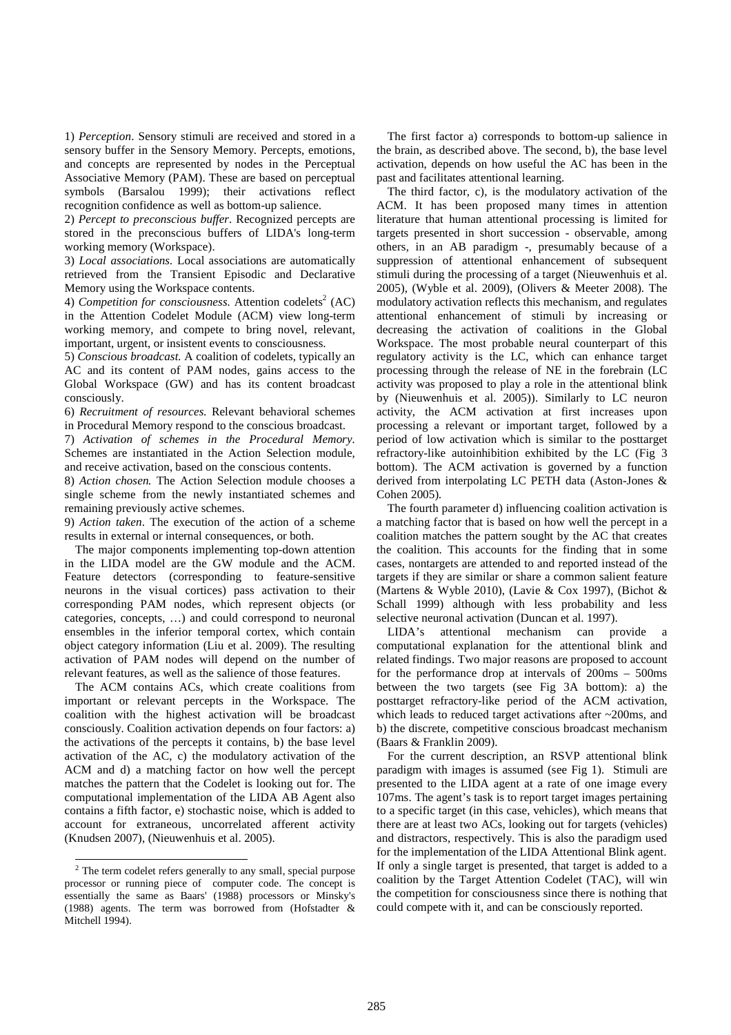1) *Perception*. Sensory stimuli are received and stored in a sensory buffer in the Sensory Memory. Percepts, emotions, and concepts are represented by nodes in the Perceptual Associative Memory (PAM). These are based on perceptual symbols (Barsalou 1999); their activations reflect recognition confidence as well as bottom-up salience.

2) *Percept to preconscious buffer*. Recognized percepts are stored in the preconscious buffers of LIDA's long-term working memory (Workspace).

3) *Local associations.* Local associations are automatically retrieved from the Transient Episodic and Declarative Memory using the Workspace contents.

4) *Competition for consciousness*. Attention codelets<sup>2</sup> (AC) in the Attention Codelet Module (ACM) view long-term working memory, and compete to bring novel, relevant, important, urgent, or insistent events to consciousness.

5) *Conscious broadcast.* A coalition of codelets, typically an AC and its content of PAM nodes, gains access to the Global Workspace (GW) and has its content broadcast consciously.

6) *Recruitment of resources.* Relevant behavioral schemes in Procedural Memory respond to the conscious broadcast.

7) *Activation of schemes in the Procedural Memory.* Schemes are instantiated in the Action Selection module, and receive activation, based on the conscious contents.

8) *Action chosen.* The Action Selection module chooses a single scheme from the newly instantiated schemes and remaining previously active schemes.

9) *Action taken*. The execution of the action of a scheme results in external or internal consequences, or both.

The major components implementing top-down attention in the LIDA model are the GW module and the ACM. Feature detectors (corresponding to feature-sensitive neurons in the visual cortices) pass activation to their corresponding PAM nodes, which represent objects (or categories, concepts, …) and could correspond to neuronal ensembles in the inferior temporal cortex, which contain object category information (Liu et al. 2009). The resulting activation of PAM nodes will depend on the number of relevant features, as well as the salience of those features.

The ACM contains ACs, which create coalitions from important or relevant percepts in the Workspace. The coalition with the highest activation will be broadcast consciously. Coalition activation depends on four factors: a) the activations of the percepts it contains, b) the base level activation of the AC, c) the modulatory activation of the ACM and d) a matching factor on how well the percept matches the pattern that the Codelet is looking out for. The computational implementation of the LIDA AB Agent also contains a fifth factor, e) stochastic noise, which is added to account for extraneous, uncorrelated afferent activity (Knudsen 2007), (Nieuwenhuis et al. 2005).

The first factor a) corresponds to bottom-up salience in the brain, as described above. The second, b), the base level activation, depends on how useful the AC has been in the past and facilitates attentional learning.

The third factor, c), is the modulatory activation of the ACM. It has been proposed many times in attention literature that human attentional processing is limited for targets presented in short succession - observable, among others, in an AB paradigm -, presumably because of a suppression of attentional enhancement of subsequent stimuli during the processing of a target (Nieuwenhuis et al. 2005), (Wyble et al. 2009), (Olivers & Meeter 2008). The modulatory activation reflects this mechanism, and regulates attentional enhancement of stimuli by increasing or decreasing the activation of coalitions in the Global Workspace. The most probable neural counterpart of this regulatory activity is the LC, which can enhance target processing through the release of NE in the forebrain (LC activity was proposed to play a role in the attentional blink by (Nieuwenhuis et al. 2005)). Similarly to LC neuron activity, the ACM activation at first increases upon processing a relevant or important target, followed by a period of low activation which is similar to the posttarget refractory-like autoinhibition exhibited by the LC (Fig 3 bottom). The ACM activation is governed by a function derived from interpolating LC PETH data (Aston-Jones & Cohen 2005)*.*

The fourth parameter d) influencing coalition activation is a matching factor that is based on how well the percept in a coalition matches the pattern sought by the AC that creates the coalition. This accounts for the finding that in some cases, nontargets are attended to and reported instead of the targets if they are similar or share a common salient feature (Martens & Wyble 2010), (Lavie & Cox 1997), (Bichot & Schall 1999) although with less probability and less selective neuronal activation (Duncan et al. 1997).

LIDA's attentional mechanism can provide a computational explanation for the attentional blink and related findings. Two major reasons are proposed to account for the performance drop at intervals of 200ms – 500ms between the two targets (see Fig 3A bottom): a) the posttarget refractory-like period of the ACM activation, which leads to reduced target activations after ~200ms, and b) the discrete, competitive conscious broadcast mechanism (Baars & Franklin 2009).

For the current description, an RSVP attentional blink paradigm with images is assumed (see Fig 1). Stimuli are presented to the LIDA agent at a rate of one image every 107ms. The agent's task is to report target images pertaining to a specific target (in this case, vehicles), which means that there are at least two ACs, looking out for targets (vehicles) and distractors, respectively. This is also the paradigm used for the implementation of the LIDA Attentional Blink agent. If only a single target is presented, that target is added to a coalition by the Target Attention Codelet (TAC), will win the competition for consciousness since there is nothing that could compete with it, and can be consciously reported.

 2 The term codelet refers generally to any small, special purpose processor or running piece of computer code. The concept is essentially the same as Baars' (1988) processors or Minsky's (1988) agents. The term was borrowed from (Hofstadter & Mitchell 1994).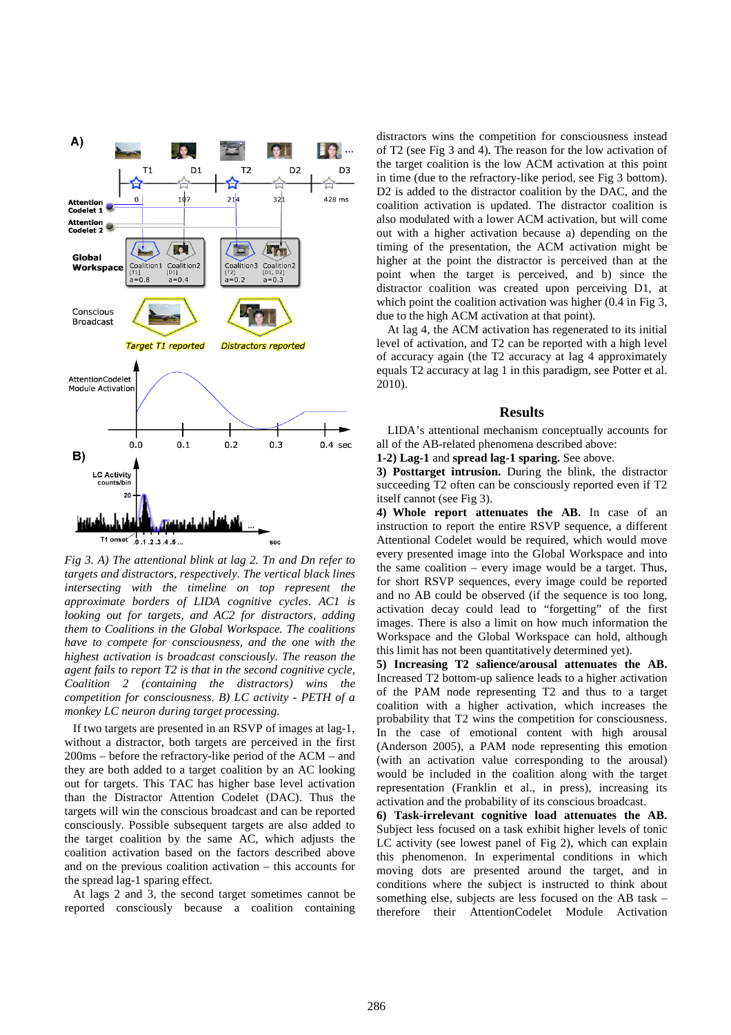

*Fig 3. A) The attentional blink at lag 2. Tn and Dn refer to targets and distractors, respectively. The vertical black lines intersecting with the timeline on top represent the approximate borders of LIDA cognitive cycles. AC1 is looking out for targets, and AC2 for distractors, adding them to Coalitions in the Global Workspace. The coalitions have to compete for consciousness, and the one with the highest activation is broadcast consciously. The reason the agent fails to report T2 is that in the second cognitive cycle, Coalition 2 (containing the distractors) wins the competition for consciousness. B) LC activity - PETH of a monkey LC neuron during target processing.* 

If two targets are presented in an RSVP of images at lag-1, without a distractor, both targets are perceived in the first 200ms – before the refractory-like period of the ACM – and they are both added to a target coalition by an AC looking out for targets. This TAC has higher base level activation than the Distractor Attention Codelet (DAC). Thus the targets will win the conscious broadcast and can be reported consciously. Possible subsequent targets are also added to the target coalition by the same AC, which adjusts the coalition activation based on the factors described above and on the previous coalition activation – this accounts for the spread lag-1 sparing effect.

At lags 2 and 3, the second target sometimes cannot be reported consciously because a coalition containing distractors wins the competition for consciousness instead of T2 (see Fig 3 and 4). The reason for the low activation of the target coalition is the low ACM activation at this point in time (due to the refractory-like period, see Fig 3 bottom). D<sub>2</sub> is added to the distractor coalition by the DAC, and the coalition activation is updated. The distractor coalition is also modulated with a lower ACM activation, but will come out with a higher activation because a) depending on the timing of the presentation, the ACM activation might be higher at the point the distractor is perceived than at the point when the target is perceived, and b) since the distractor coalition was created upon perceiving D1, at which point the coalition activation was higher (0.4 in Fig 3, due to the high ACM activation at that point).

At lag 4, the ACM activation has regenerated to its initial level of activation, and T2 can be reported with a high level of accuracy again (the T2 accuracy at lag 4 approximately equals T2 accuracy at lag 1 in this paradigm, see Potter et al. 2010).

#### **Results**

LIDA's attentional mechanism conceptually accounts for all of the AB-related phenomena described above:

**1-2) Lag-1** and **spread lag-1 sparing.** See above.

**3) Posttarget intrusion.** During the blink, the distractor succeeding T2 often can be consciously reported even if T2 itself cannot (see Fig 3).

**4) Whole report attenuates the AB.** In case of an instruction to report the entire RSVP sequence, a different Attentional Codelet would be required, which would move every presented image into the Global Workspace and into the same coalition – every image would be a target. Thus, for short RSVP sequences, every image could be reported and no AB could be observed (if the sequence is too long, activation decay could lead to "forgetting" of the first images. There is also a limit on how much information the Workspace and the Global Workspace can hold, although this limit has not been quantitatively determined yet).

**5) Increasing T2 salience/arousal attenuates the AB.** Increased T2 bottom-up salience leads to a higher activation of the PAM node representing T2 and thus to a target coalition with a higher activation, which increases the probability that T2 wins the competition for consciousness. In the case of emotional content with high arousal (Anderson 2005), a PAM node representing this emotion (with an activation value corresponding to the arousal) would be included in the coalition along with the target representation (Franklin et al., in press), increasing its activation and the probability of its conscious broadcast.

**6) Task-irrelevant cognitive load attenuates the AB.** Subject less focused on a task exhibit higher levels of tonic LC activity (see lowest panel of Fig 2), which can explain this phenomenon. In experimental conditions in which moving dots are presented around the target, and in conditions where the subject is instructed to think about something else, subjects are less focused on the AB task – therefore their AttentionCodelet Module Activation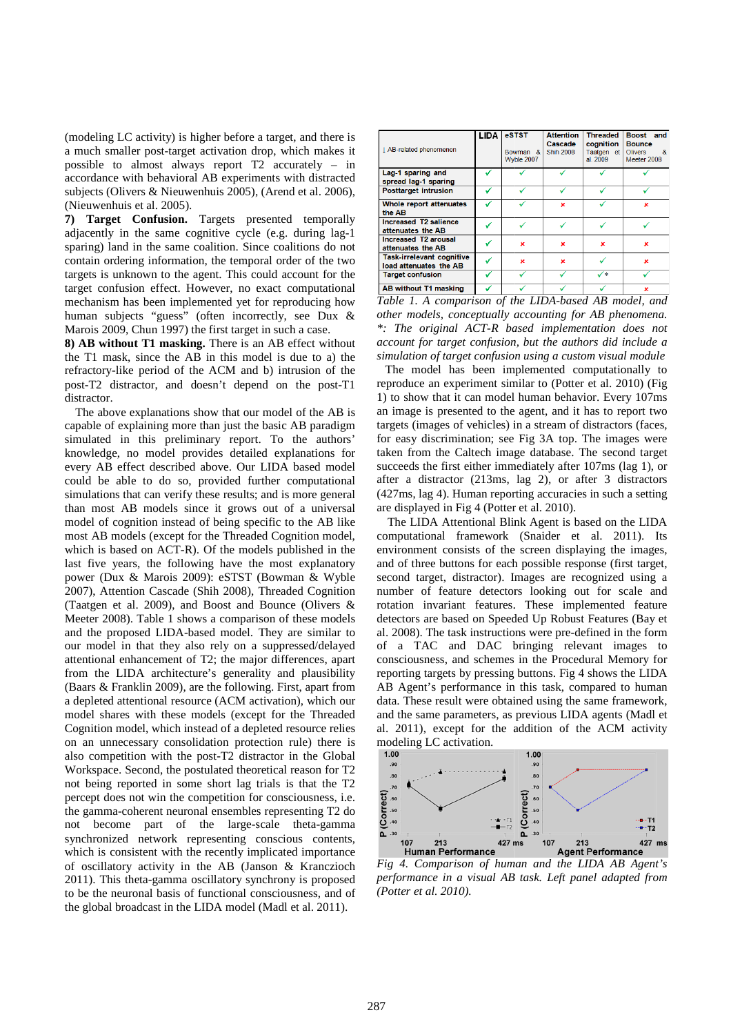(modeling LC activity) is higher before a target, and there is a much smaller post-target activation drop, which makes it a much smaller post-target activation drop, which makes it possible to almost always report T2 accurately – in accordance with behavioral AB experiments with distracted subjects (Olivers & Nieuwenhuis 2005), (Arend et al. 2006), (Nieuwenhuis et al. 2005).

**7) Target Confusion.** Targets presented temporally adjacently in the same cognitive cycle (e.g. during lag-1 sparing) land in the same coalition. Since coalitions do not contain ordering information, the temporal order of the two targets is unknown to the agent. This could account for the target confusion effect. However, no exact computational mechanism has been implemented yet for reproducing how human subjects "guess" (often incorrectly, see Dux & Marois 2009, Chun 1997) the first target in such a case.

**8) AB without T1 masking.** There is an AB effect without the T1 mask, since the AB in this model is due to a) the refractory-like period of the ACM and b) intrusion of the post-T2 distractor, and doesn't depend on the post distractor. is target in such a case.<br>
ere is an AB effect without<br>
this model is due to a) the<br>
CM and b) intrusion of the<br>
t depend on the post-T1

The above explanations show that our model of the AB is capable of explaining more than just the basic AB paradigm simulated in this preliminary report. To the authors' knowledge, no model provides detailed explanations for every AB effect described above. Our LIDA based model could be able to do so, provided further computational simulations that can verify these results; and is more general than most AB models since it grows out of a universal model of cognition instead of being specific to the AB AB like most AB models (except for the Threaded Cognition model, which is based on ACT-R). Of the models published in the last five years, the following have the most explanatory power (Dux & Marois 2009): eSTST (Bowman & Wyble 2007), Attention Cascade (Shih 2008), Threaded Cognition (Taatgen et al. 2009), and Boost and Bounce (Olivers  $\&$ Meeter 2008). Table 1 shows a comparison of these models and the proposed LIDA-based model. They are similar to our model in that they also rely on a s suppressed/delayed attentional enhancement of T2; the major differences, apart from the LIDA architecture's generality and plausibility (Baars  $&$  Franklin 2009), are the following. First, apart from a depleted attentional resource (ACM activation), which our model shares with these models (except for the Threaded Cognition model, which instead of a depleted resource relies on an unnecessary consolidation protection rule) there is also competition with the post-T2 distractor T2 distractor in the Global Workspace. Second, the postulated theoretical reason for T2 not being reported in some short lag trials is that the T2 percept does not win the competition for consciousness, i.e. the gamma-coherent neuronal ensembles representing T2 do the gamma-coherent neuronal ensembles representing T2 do not become part of the large-scale theta-gamma synchronized network representing conscious contents, which is consistent with the recently implicated importance of oscillatory activity in the AB (Janson & Kranczioch 2011). This theta-gamma oscillatory synchrony is proposed to be the neuronal basis of functional consciousness, and of 2011). This theta-gamma oscillatory synchrony is propose to be the neuronal basis of functional consciousness, and of the global broadcast in the LIDA model (Madl et al. 2011). T-R). Of the models published in the<br>ollowing have the most explanatory<br>s 2009): eSTST (Bowman & Wyble<br>ade (Shih 2008), Threaded Cognition<br>, and Boost and Bounce (Olivers &

| J. AB-related phenomenon                                   | LIDA | eSTST<br>Bowman &<br>Wyble 2007 | <b>Attention</b><br>Cascade<br><b>Shih 2008</b> | <b>Threaded</b><br>coanition<br>Taatgen et<br>al. 2009 | Boost and<br><b>Bounce</b><br><b>Olivers</b><br>- &<br>Meeter 2008 |
|------------------------------------------------------------|------|---------------------------------|-------------------------------------------------|--------------------------------------------------------|--------------------------------------------------------------------|
| Lag-1 sparing and<br>spread lag-1 sparing                  |      |                                 |                                                 |                                                        |                                                                    |
| <b>Posttarget intrusion</b>                                |      |                                 |                                                 |                                                        |                                                                    |
| Whole report attenuates<br>the AB                          |      |                                 | ×                                               |                                                        | ×                                                                  |
| Increased T2 salience<br>attenuates the AB                 |      |                                 |                                                 |                                                        |                                                                    |
| Increased T2 arousal<br>attenuates the AB                  |      | ×                               | ×                                               | ×                                                      | ×                                                                  |
| <b>Task-irrelevant cognitive</b><br>load attenuates the AB |      | $\mathbf x$                     | ×                                               |                                                        | ×                                                                  |
| <b>Target confusion</b>                                    |      |                                 |                                                 | ✓∗                                                     |                                                                    |
| AB without T1 masking                                      |      |                                 |                                                 |                                                        | ×                                                                  |

*Table 1. A comparison of the LIDA LIDA-based AB model, and differmodels, conceptually accounting for AB phenomena. \*: The original ACT-R based implementation does not account for target confusion, R arget confusion, but the authors did include a simulation of target confusion using a custom visual module* 

The model has been implemented computationally to The model has been implemented computationally to reproduce an experiment similar to (Potter et al. 2010) (Fig. 1) to show that it can model human behavior. Every 107ms an image is presented to the agent, and it has to report two targets (images of vehicles) in a stream of distractors (faces, for easy discrimination; see Fig 3A top. The images were taken from the Caltech image database. The second target succeeds the first either immediately after 107ms (lag 1), or after a distractor (213ms, lag 2), or after 3 distractors (427ms, lag 4). Human reporting accuracies in such a setting are displayed in Fig 4 (Potter et al. 2010) w that it can model human behavior. Ev<br>is presented to the agent, and it has to<br>mages of vehicles) in a stream of distract<br>discrimination; see Fig 3A top. The im<br>m the Caltech image database. The sec<br>the first either immed

The LIDA Attentional Blink Agent is based on the LIDA The LIDA Attentional Blink Agent is based on the LIDA computational framework (Snaider et al. 2011). Its environment consists of the screen displaying the images, and of three buttons for each possible response (first target, second target, distractor). Images are recognized using a number of feature detectors looking out for scale and rotation invariant features. These implemented feature detectors are based on Speeded Up Robust Features al. 2008). The task instructions were pre-defined in the form of a TAC and DAC bringing relevant images to consciousness, and schemes in the Procedural Memory for reporting targets by pressing buttons. Fig 4 shows the LIDA AB Agent's performance in this task, compared to human data. These result were obtained using the same framew framework, and the same parameters, as previous LIDA agents (Madl et al. 2011), except for the addition of the ACM activity modeling LC activation. consists of the screen displaying the images,<br>puttons for each possible response (first target,<br>i, distractor). Images are recognized using a<br>eature detectors looking out for scale and<br>priant features. These implemented fe Implementary of the Procedural Memory for<br>and schemes in the Procedural Memory for<br>s by pressing buttons. Fig 4 shows the LIDA



*Fig 4. Comparison of human and the LIDA AB Agent's*  Fig 4. Comparison of human and the LIDA AB Agent's<br>performance in a visual AB task. Left panel adapted from *(Potter et al. 2010).*